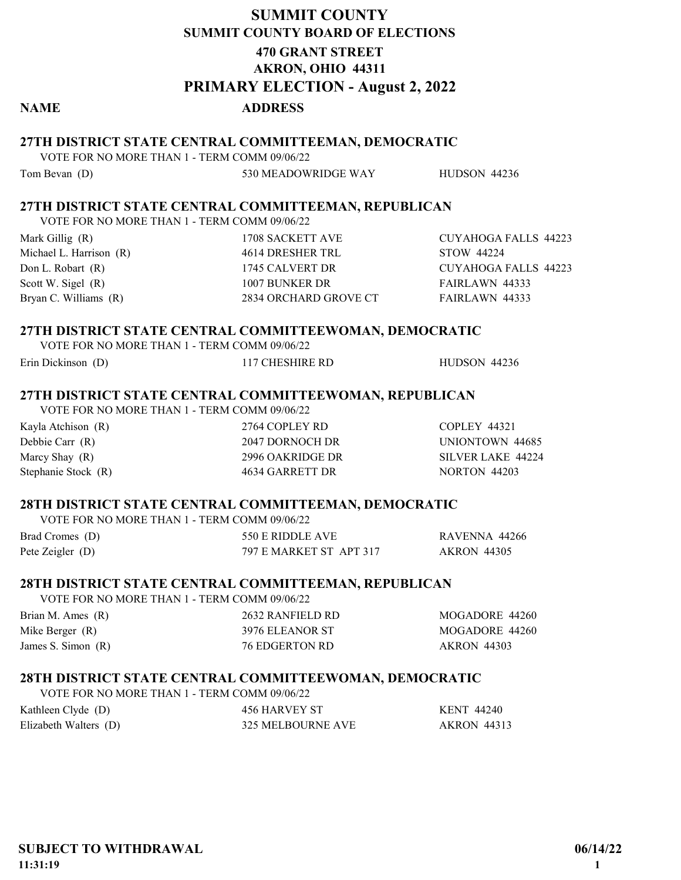# SUMMIT COUNTY PRIMARY ELECTION - August 2, 2022 SUMMIT COUNTY BOARD OF ELECTIONS 470 GRANT STREET AKRON, OHIO 44311

## NAME ADDRESS

## 27TH DISTRICT STATE CENTRAL COMMITTEEMAN, DEMOCRATIC

VOTE FOR NO MORE THAN 1 - TERM COMM 09/06/22

Tom Bevan (D) 530 MEADOWRIDGE WAY HUDSON 44236

## 27TH DISTRICT STATE CENTRAL COMMITTEEMAN, REPUBLICAN

VOTE FOR NO MORE THAN 1 - TERM COMM 09/06/22

| Mark Gillig $(R)$       | 1708 SACKETT AVE      | CUYAHOGA FALLS 44223 |
|-------------------------|-----------------------|----------------------|
| Michael L. Harrison (R) | 4614 DRESHER TRL      | STOW 44224           |
| Don L. Robart (R)       | 1745 CALVERT DR       | CUYAHOGA FALLS 44223 |
| Scott W. Sigel $(R)$    | 1007 BUNKER DR        | FAIRLAWN 44333       |
| Bryan C. Williams (R)   | 2834 ORCHARD GROVE CT | FAIRLAWN 44333       |
|                         |                       |                      |

## 27TH DISTRICT STATE CENTRAL COMMITTEEWOMAN, DEMOCRATIC

| VOTE FOR NO MORE THAN 1 - TERM COMM 09/06/22 |                 |                     |
|----------------------------------------------|-----------------|---------------------|
| Erin Dickinson (D)                           | 117 CHESHIRE RD | <b>HUDSON 44236</b> |

## 27TH DISTRICT STATE CENTRAL COMMITTEEWOMAN, REPUBLICAN

VOTE FOR NO MORE THAN 1 - TERM COMM 09/06/22 Kayla Atchison (R) 2764 COPLEY RD COPLEY 44321 Debbie Carr (R) 2047 DORNOCH DR UNIONTOWN 44685 Marcy Shay (R) 2996 OAKRIDGE DR SILVER LAKE 44224 Stephanie Stock (R)  $4634$  GARRETT DR NORTON 44203

### 28TH DISTRICT STATE CENTRAL COMMITTEEMAN, DEMOCRATIC VOTE FOR NO MORE THAN 1 - TERM COMM 09/06/22

| VOTE FOR NO MORE THAN T - TERM COMM 09/00/22 |                         |                    |
|----------------------------------------------|-------------------------|--------------------|
| Brad Cromes (D)                              | 550 E RIDDLE AVE        | RAVENNA 44266      |
| Pete Zeigler $(D)$                           | 797 E MARKET ST APT 317 | <b>AKRON 44305</b> |

## 28TH DISTRICT STATE CENTRAL COMMITTEEMAN, REPUBLICAN

VOTE FOR NO MORE THAN 1 - TERM COMM 09/06/22

| Brian M. Ames (R)    | 2632 RANFIELD RD | MOGADORE 44260     |
|----------------------|------------------|--------------------|
| Mike Berger (R)      | 3976 ELEANOR ST  | MOGADORE 44260     |
| James S. Simon $(R)$ | 76 EDGERTON RD   | <b>AKRON 44303</b> |

## 28TH DISTRICT STATE CENTRAL COMMITTEEWOMAN, DEMOCRATIC

| VOTE FOR NO MORE THAN 1 - TERM COMM 09/06/22 |                   |                    |
|----------------------------------------------|-------------------|--------------------|
| Kathleen Clyde (D)                           | 456 HARVEY ST     | KENT 44240         |
| Elizabeth Walters (D)                        | 325 MELBOURNE AVE | <b>AKRON</b> 44313 |